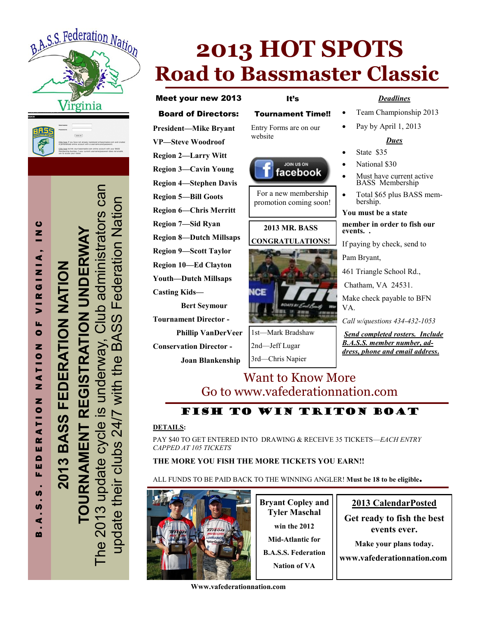



The 2013 update cycle is underway, Club administrators can Can update their clubs 24/7 with the BASS Federation Nation Federation<br>Nation administrators **TOURNAMENT REGISTRATION UNDERWAY**  REGISTRATION UNDERV **2013 BASS FEDERATION NATION**  FEDERATION NATION SS  $\blacktriangleleft$  $\mathbf{B}$ he 2013 update cycle is underway with BASS update their clubs 24/7 **URNAMENT** 2013

B . A . S . S . F E D E R A T I O N N A T I O N O F V I R G I N I A , I N C

**RATION** 

ш

 $\blacksquare$ ш u,

**S** S  $\blacktriangleleft$  $\mathbf{m}$ 

ZOILTZ

ပ  $\bar{z}$ 

VIRGINIA,

u,  $\bullet$ 

# **2013 HOT SPOTS Road to Bassmaster Classic**

### Meet your new 2013

#### Board of Directors:

**President—Mike Bryant VP—Steve Woodroof Region 2—Larry Witt Region 3—Cavin Young Region 4—Stephen Davis Region 5—Bill Goots Region 6—Chris Merritt Region 7—Sid Ryan Region 8—Dutch Millsaps Region 9—Scott Taylor Region 10—Ed Clayton Youth—Dutch Millsaps Casting Kids—**

**Bert Seymour Tournament Director - Phillip VanDerVeer**

**Conservation Director -**

**Joan Blankenship**

# It's

### Tournament Time!!

Entry Forms are on our website



For a new membership promotion coming soon!

### **2013 MR. BASS CONGRATULATIONS!**



1st—Mark Bradshaw 2nd—Jeff Lugar 3rd—Chris Napier

### *Deadlines*

- Team Championship 2013
- Pay by April 1, 2013

### *Dues*

- State \$35
- National \$30
- Must have current active BASS Membership
- Total \$65 plus BASS membership.

#### **You must be a state**

**member in order to fish our events. .** 

If paying by check, send to

Pam Bryant,

461 Triangle School Rd.,

Chatham, VA 24531.

Make check payable to BFN VA.

*Call w/questions 434-432-1053*

*Send completed rosters. Include B.A.S.S. member number, address, phone and email address***.** 

### Want to Know More Go to www.vafederationnation.com

### FISH TO WIN TRITON BOAT

#### **DETAILS:**

PAY \$40 TO GET ENTERED INTO DRAWING & RECEIVE 35 TICKETS—*EACH ENTRY CAPPED AT 105 TICKETS*

### **THE MORE YOU FISH THE MORE TICKETS YOU EARN!!**

ALL FUNDS TO BE PAID BACK TO THE WINNING ANGLER! **Must be 18 to be eligible.**



**Bryant Copley and Tyler Maschal win the 2012 Mid-Atlantic for** 

**B.A.S.S. Federation Nation of VA**

### **2013 CalendarPosted**

**Get ready to fish the best events ever.** 

**Make your plans today.**

**www.vafederationnation.com**